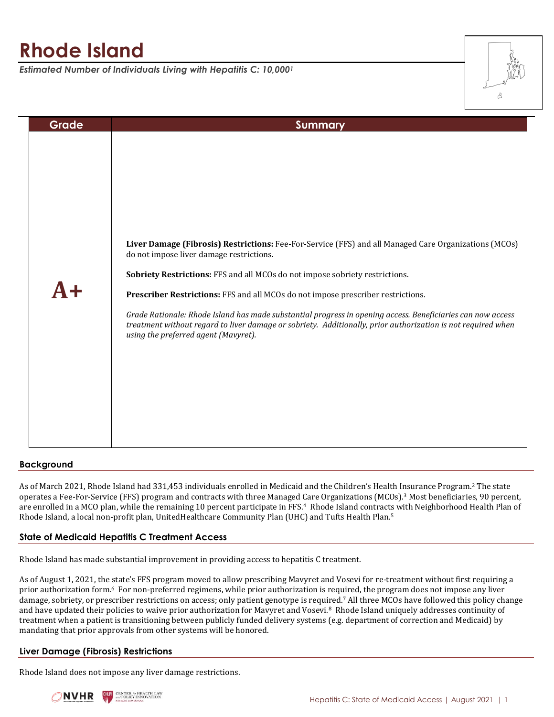# **Rhode Island**

*Estimated Number of Individuals Living with Hepatitis C: 10,000<sup>1</sup>*



| Grade | <b>Summary</b>                                                                                                                                                                                                                                                                                                                                                                                                                                                                                                                                                                               |
|-------|----------------------------------------------------------------------------------------------------------------------------------------------------------------------------------------------------------------------------------------------------------------------------------------------------------------------------------------------------------------------------------------------------------------------------------------------------------------------------------------------------------------------------------------------------------------------------------------------|
|       | Liver Damage (Fibrosis) Restrictions: Fee-For-Service (FFS) and all Managed Care Organizations (MCOs)<br>do not impose liver damage restrictions.<br>Sobriety Restrictions: FFS and all MCOs do not impose sobriety restrictions.<br>Prescriber Restrictions: FFS and all MCOs do not impose prescriber restrictions.<br>Grade Rationale: Rhode Island has made substantial progress in opening access. Beneficiaries can now access<br>treatment without regard to liver damage or sobriety. Additionally, prior authorization is not required when<br>using the preferred agent (Mavyret). |
|       |                                                                                                                                                                                                                                                                                                                                                                                                                                                                                                                                                                                              |

## **Background**

As of March 2021, Rhode Island had 331,453 individuals enrolled in Medicaid and the Children's Health Insurance Program.<sup>2</sup> The state operates a Fee-For-Service (FFS) program and contracts with three Managed Care Organizations (MCOs).<sup>3</sup> Most beneficiaries, 90 percent, are enrolled in a MCO plan, while the remaining 10 percent participate in FFS.4 Rhode Island contracts with Neighborhood Health Plan of Rhode Island, a local non-profit plan, UnitedHealthcare Community Plan (UHC) and Tufts Health Plan.<sup>5</sup>

## **State of Medicaid Hepatitis C Treatment Access**

Rhode Island has made substantial improvement in providing access to hepatitis C treatment.

As of August 1, 2021, the state's FFS program moved to allow prescribing Mavyret and Vosevi for re-treatment without first requiring a prior authorization form.<sup>6</sup> For non-preferred regimens, while prior authorization is required, the program does not impose any liver damage, sobriety, or prescriber restrictions on access; only patient genotype is required.<sup>7</sup> All three MCOs have followed this policy change and have updated their policies to waive prior authorization for Mavyret and Vosevi.<sup>8</sup> Rhode Island uniquely addresses continuity of treatment when a patient is transitioning between publicly funded delivery systems (e.g. department of correction and Medicaid) by mandating that prior approvals from other systems will be honored.

## **Liver Damage (Fibrosis) Restrictions**

Rhode Island does not impose any liver damage restrictions.